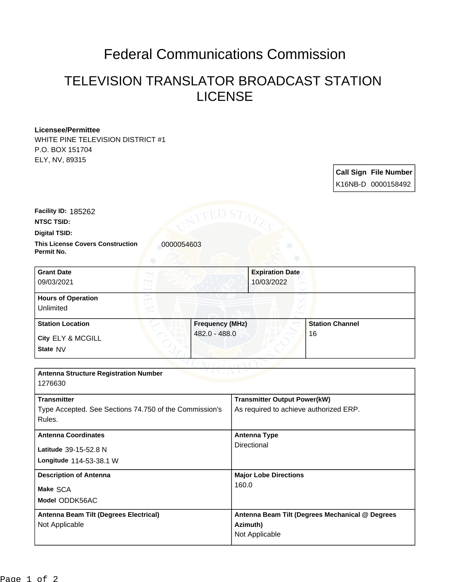## Federal Communications Commission

## TELEVISION TRANSLATOR BROADCAST STATION LICENSE

## **Licensee/Permittee**

WHITE PINE TELEVISION DISTRICT #1 P.O. BOX 151704 ELY, NV, 89315

| <b>Call Sign File Number</b> |
|------------------------------|
| K16NB-D 0000158492           |

**NTSC TSID: Facility ID:** 185262

**Digital TSID:**

**This License Covers Construction**  0000054603 **Permit No.**

| <b>Grant Date</b>                      | <b>Expiration Date</b> |                        |
|----------------------------------------|------------------------|------------------------|
| 09/03/2021                             | 10/03/2022             |                        |
| <b>Hours of Operation</b><br>Unlimited |                        |                        |
| <b>Station Location</b>                | <b>Frequency (MHz)</b> | <b>Station Channel</b> |
| City ELY & MCGILL                      | 482.0 - 488.0          | 16                     |
| State NV                               |                        |                        |

| <b>Antenna Structure Registration Number</b><br>1276630                                |                                                                               |  |  |  |  |
|----------------------------------------------------------------------------------------|-------------------------------------------------------------------------------|--|--|--|--|
| <b>Transmitter</b><br>Type Accepted. See Sections 74.750 of the Commission's<br>Rules. | <b>Transmitter Output Power(kW)</b><br>As required to achieve authorized ERP. |  |  |  |  |
| <b>Antenna Coordinates</b><br>Latitude 39-15-52.8 N<br>Longitude 114-53-38.1 W         | Antenna Type<br>Directional                                                   |  |  |  |  |
| <b>Description of Antenna</b><br>Make SCA<br>Model ODDK56AC                            | <b>Major Lobe Directions</b><br>160.0                                         |  |  |  |  |
| Antenna Beam Tilt (Degrees Electrical)<br>Not Applicable                               | Antenna Beam Tilt (Degrees Mechanical @ Degrees<br>Azimuth)<br>Not Applicable |  |  |  |  |